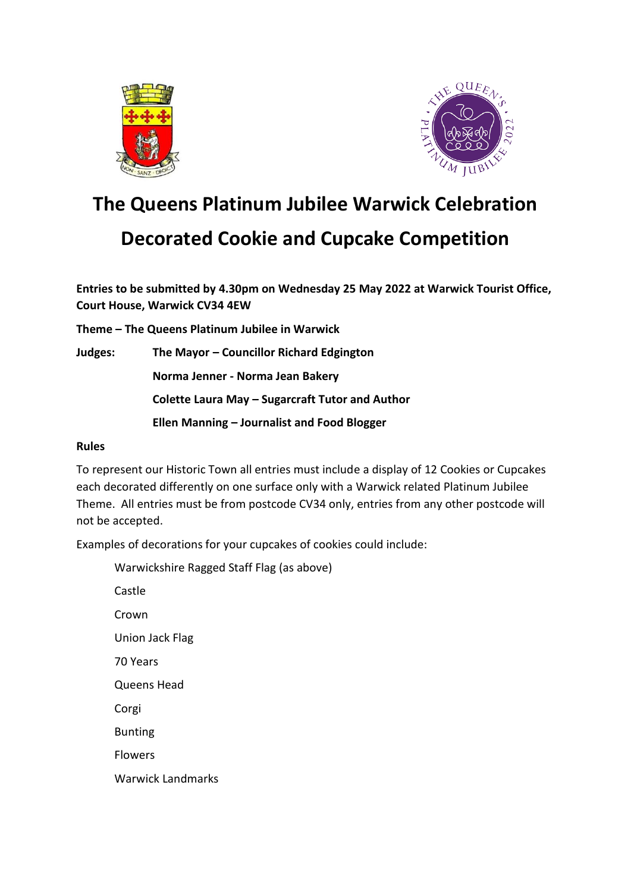



# **The Queens Platinum Jubilee Warwick Celebration**

#### **Decorated Cookie and Cupcake Competition**

**Entries to be submitted by 4.30pm on Wednesday 25 May 2022 at Warwick Tourist Office, Court House, Warwick CV34 4EW**

**Theme – The Queens Platinum Jubilee in Warwick**

**Judges: The Mayor – Councillor Richard Edgington Norma Jenner - Norma Jean Bakery Colette Laura May – Sugarcraft Tutor and Author Ellen Manning – Journalist and Food Blogger**

#### **Rules**

To represent our Historic Town all entries must include a display of 12 Cookies or Cupcakes each decorated differently on one surface only with a Warwick related Platinum Jubilee Theme. All entries must be from postcode CV34 only, entries from any other postcode will not be accepted.

Examples of decorations for your cupcakes of cookies could include:

Warwickshire Ragged Staff Flag (as above) Castle Crown Union Jack Flag 70 Years Queens Head Corgi Bunting Flowers Warwick Landmarks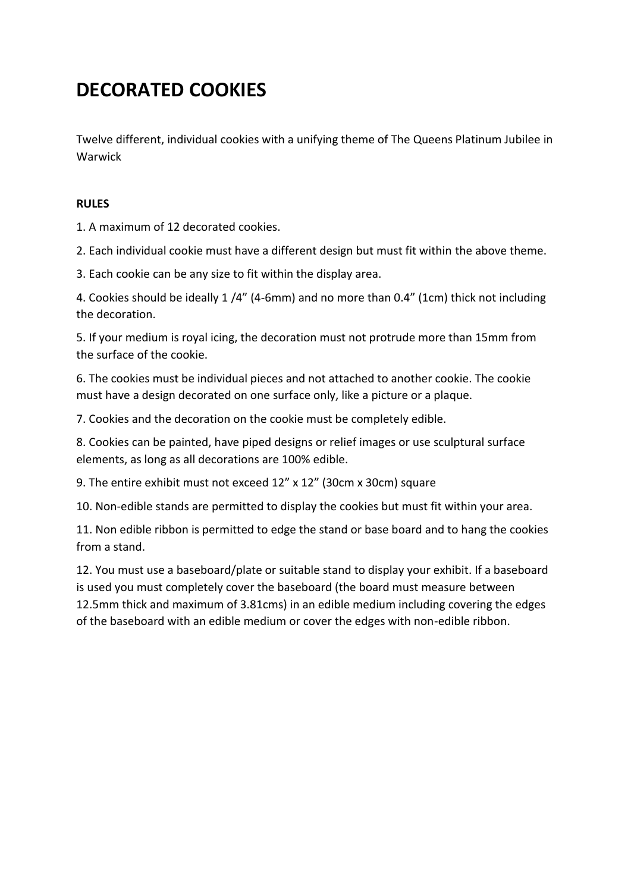### **DECORATED COOKIES**

Twelve different, individual cookies with a unifying theme of The Queens Platinum Jubilee in Warwick

#### **RULES**

1. A maximum of 12 decorated cookies.

2. Each individual cookie must have a different design but must fit within the above theme.

3. Each cookie can be any size to fit within the display area.

4. Cookies should be ideally 1 /4" (4-6mm) and no more than 0.4" (1cm) thick not including the decoration.

5. If your medium is royal icing, the decoration must not protrude more than 15mm from the surface of the cookie.

6. The cookies must be individual pieces and not attached to another cookie. The cookie must have a design decorated on one surface only, like a picture or a plaque.

7. Cookies and the decoration on the cookie must be completely edible.

8. Cookies can be painted, have piped designs or relief images or use sculptural surface elements, as long as all decorations are 100% edible.

9. The entire exhibit must not exceed 12" x 12" (30cm x 30cm) square

10. Non-edible stands are permitted to display the cookies but must fit within your area.

11. Non edible ribbon is permitted to edge the stand or base board and to hang the cookies from a stand.

12. You must use a baseboard/plate or suitable stand to display your exhibit. If a baseboard is used you must completely cover the baseboard (the board must measure between 12.5mm thick and maximum of 3.81cms) in an edible medium including covering the edges of the baseboard with an edible medium or cover the edges with non-edible ribbon.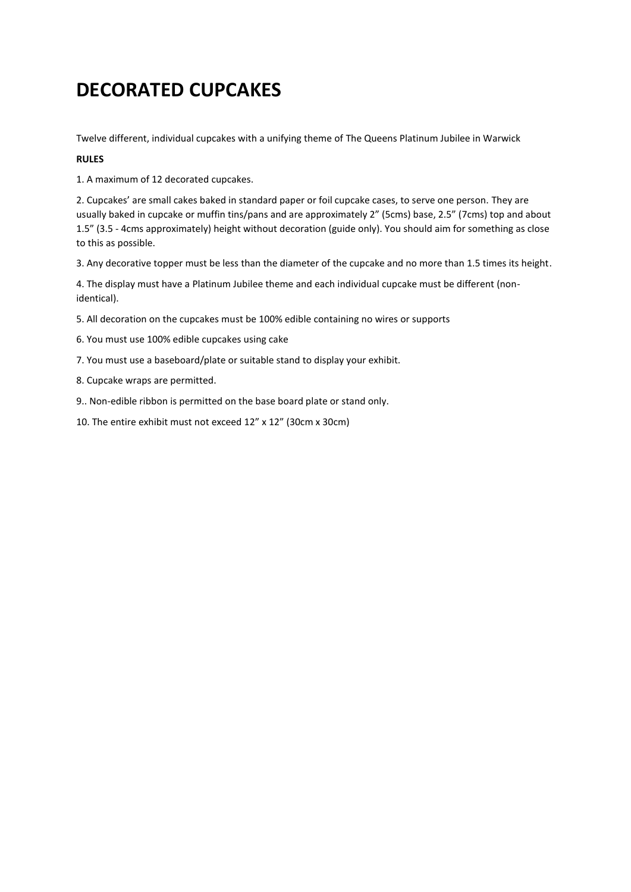### **DECORATED CUPCAKES**

Twelve different, individual cupcakes with a unifying theme of The Queens Platinum Jubilee in Warwick

#### **RULES**

1. A maximum of 12 decorated cupcakes.

2. Cupcakes' are small cakes baked in standard paper or foil cupcake cases, to serve one person. They are usually baked in cupcake or muffin tins/pans and are approximately 2" (5cms) base, 2.5" (7cms) top and about 1.5" (3.5 - 4cms approximately) height without decoration (guide only). You should aim for something as close to this as possible.

3. Any decorative topper must be less than the diameter of the cupcake and no more than 1.5 times its height.

4. The display must have a Platinum Jubilee theme and each individual cupcake must be different (nonidentical).

- 5. All decoration on the cupcakes must be 100% edible containing no wires or supports
- 6. You must use 100% edible cupcakes using cake
- 7. You must use a baseboard/plate or suitable stand to display your exhibit.
- 8. Cupcake wraps are permitted.
- 9.. Non-edible ribbon is permitted on the base board plate or stand only.
- 10. The entire exhibit must not exceed 12" x 12" (30cm x 30cm)